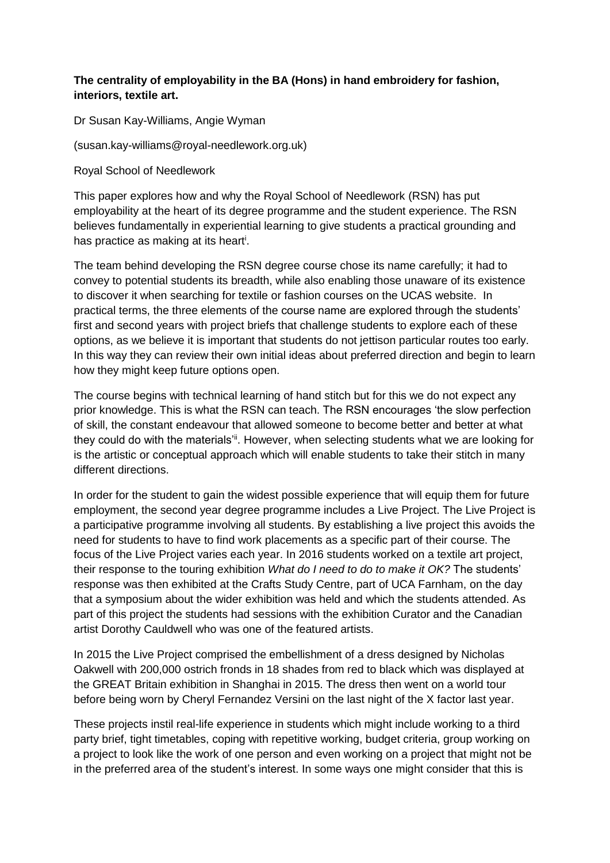## **The centrality of employability in the BA (Hons) in hand embroidery for fashion, interiors, textile art.**

Dr Susan Kay-Williams, Angie Wyman

(susan.kay-williams@royal-needlework.org.uk)

Royal School of Needlework

This paper explores how and why the Royal School of Needlework (RSN) has put employability at the heart of its degree programme and the student experience. The RSN believes fundamentally in experiential learning to give students a practical grounding and has practice as making at its heart<sup>i</sup>.

The team behind developing the RSN degree course chose its name carefully; it had to convey to potential students its breadth, while also enabling those unaware of its existence to discover it when searching for textile or fashion courses on the UCAS website. In practical terms, the three elements of the course name are explored through the students' first and second years with project briefs that challenge students to explore each of these options, as we believe it is important that students do not jettison particular routes too early. In this way they can review their own initial ideas about preferred direction and begin to learn how they might keep future options open.

The course begins with technical learning of hand stitch but for this we do not expect any prior knowledge. This is what the RSN can teach. The RSN encourages 'the slow perfection of skill, the constant endeavour that allowed someone to become better and better at what they could do with the materials<sup>'ii</sup>. However, when selecting students what we are looking for is the artistic or conceptual approach which will enable students to take their stitch in many different directions.

In order for the student to gain the widest possible experience that will equip them for future employment, the second year degree programme includes a Live Project. The Live Project is a participative programme involving all students. By establishing a live project this avoids the need for students to have to find work placements as a specific part of their course. The focus of the Live Project varies each year. In 2016 students worked on a textile art project, their response to the touring exhibition *What do I need to do to make it OK?* The students' response was then exhibited at the Crafts Study Centre, part of UCA Farnham, on the day that a symposium about the wider exhibition was held and which the students attended. As part of this project the students had sessions with the exhibition Curator and the Canadian artist Dorothy Cauldwell who was one of the featured artists.

In 2015 the Live Project comprised the embellishment of a dress designed by Nicholas Oakwell with 200,000 ostrich fronds in 18 shades from red to black which was displayed at the GREAT Britain exhibition in Shanghai in 2015. The dress then went on a world tour before being worn by Cheryl Fernandez Versini on the last night of the X factor last year.

These projects instil real-life experience in students which might include working to a third party brief, tight timetables, coping with repetitive working, budget criteria, group working on a project to look like the work of one person and even working on a project that might not be in the preferred area of the student's interest. In some ways one might consider that this is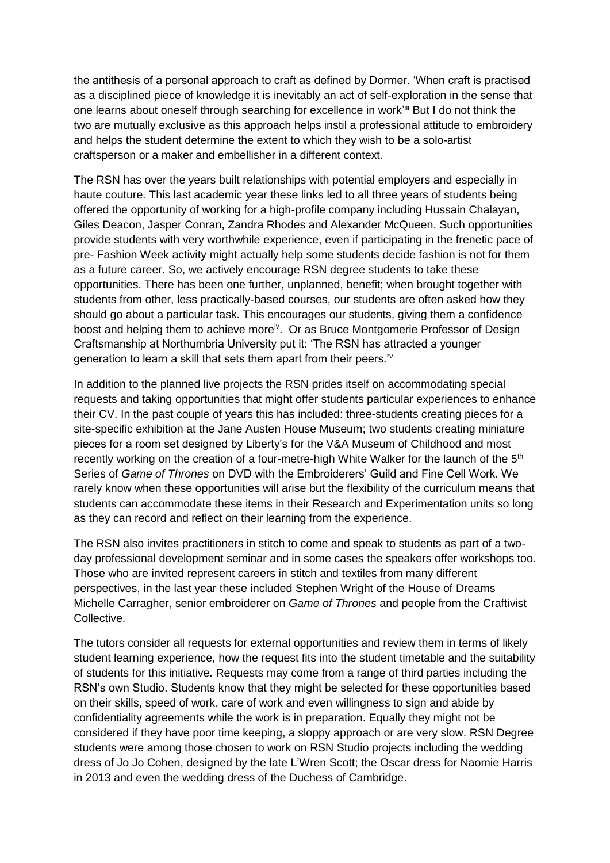the antithesis of a personal approach to craft as defined by Dormer. 'When craft is practised as a disciplined piece of knowledge it is inevitably an act of self-exploration in the sense that one learns about oneself through searching for excellence in work'ill But I do not think the two are mutually exclusive as this approach helps instil a professional attitude to embroidery and helps the student determine the extent to which they wish to be a solo-artist craftsperson or a maker and embellisher in a different context.

The RSN has over the years built relationships with potential employers and especially in haute couture. This last academic year these links led to all three years of students being offered the opportunity of working for a high-profile company including Hussain Chalayan, Giles Deacon, Jasper Conran, Zandra Rhodes and Alexander McQueen. Such opportunities provide students with very worthwhile experience, even if participating in the frenetic pace of pre- Fashion Week activity might actually help some students decide fashion is not for them as a future career. So, we actively encourage RSN degree students to take these opportunities. There has been one further, unplanned, benefit; when brought together with students from other, less practically-based courses, our students are often asked how they should go about a particular task. This encourages our students, giving them a confidence boost and helping them to achieve more<sup>iv</sup>. Or as Bruce Montgomerie Professor of Design Craftsmanship at Northumbria University put it: 'The RSN has attracted a younger generation to learn a skill that sets them apart from their peers.'<sup>v</sup>

In addition to the planned live projects the RSN prides itself on accommodating special requests and taking opportunities that might offer students particular experiences to enhance their CV. In the past couple of years this has included: three-students creating pieces for a site-specific exhibition at the Jane Austen House Museum; two students creating miniature pieces for a room set designed by Liberty's for the V&A Museum of Childhood and most recently working on the creation of a four-metre-high White Walker for the launch of the 5<sup>th</sup> Series of *Game of Thrones* on DVD with the Embroiderers' Guild and Fine Cell Work. We rarely know when these opportunities will arise but the flexibility of the curriculum means that students can accommodate these items in their Research and Experimentation units so long as they can record and reflect on their learning from the experience.

The RSN also invites practitioners in stitch to come and speak to students as part of a twoday professional development seminar and in some cases the speakers offer workshops too. Those who are invited represent careers in stitch and textiles from many different perspectives, in the last year these included Stephen Wright of the House of Dreams Michelle Carragher, senior embroiderer on *Game of Thrones* and people from the Craftivist Collective.

The tutors consider all requests for external opportunities and review them in terms of likely student learning experience, how the request fits into the student timetable and the suitability of students for this initiative. Requests may come from a range of third parties including the RSN's own Studio. Students know that they might be selected for these opportunities based on their skills, speed of work, care of work and even willingness to sign and abide by confidentiality agreements while the work is in preparation. Equally they might not be considered if they have poor time keeping, a sloppy approach or are very slow. RSN Degree students were among those chosen to work on RSN Studio projects including the wedding dress of Jo Jo Cohen, designed by the late L'Wren Scott; the Oscar dress for Naomie Harris in 2013 and even the wedding dress of the Duchess of Cambridge.